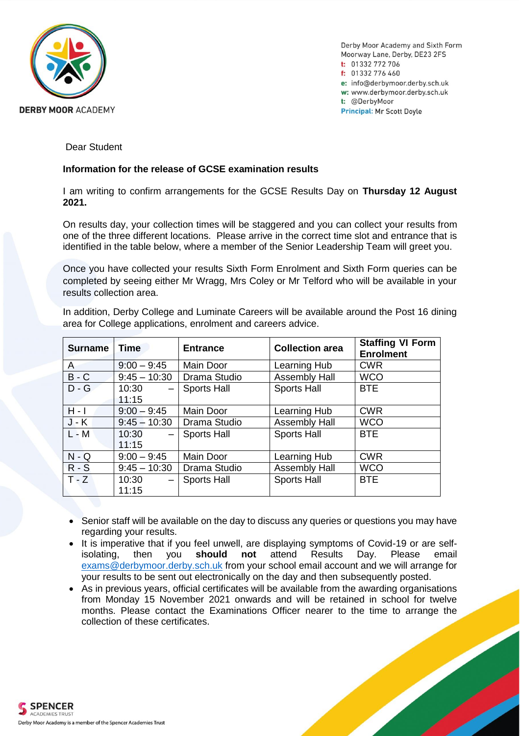

Derby Moor Academy and Sixth Form Moorway Lane, Derby, DE23 2FS  $t: 01332772706$ f:  $01332776460$ e: info@derbymoor.derby.sch.uk w: www.derbymoor.derby.sch.uk t: @DerbyMoor **Principal: Mr Scott Doyle** 

Dear Student

# **Information for the release of GCSE examination results**

I am writing to confirm arrangements for the GCSE Results Day on **Thursday 12 August 2021.**

On results day, your collection times will be staggered and you can collect your results from one of the three different locations. Please arrive in the correct time slot and entrance that is identified in the table below, where a member of the Senior Leadership Team will greet you.

Once you have collected your results Sixth Form Enrolment and Sixth Form queries can be completed by seeing either Mr Wragg, Mrs Coley or Mr Telford who will be available in your results collection area.

In addition, Derby College and Luminate Careers will be available around the Post 16 dining area for College applications, enrolment and careers advice.

| <b>Surname</b> | <b>Time</b>    | <b>Entrance</b>    | <b>Collection area</b> | <b>Staffing VI Form</b><br><b>Enrolment</b> |
|----------------|----------------|--------------------|------------------------|---------------------------------------------|
| $\mathsf{A}$   | $9:00 - 9:45$  | Main Door          | Learning Hub           | <b>CWR</b>                                  |
| $B - C$        | $9:45 - 10:30$ | Drama Studio       | <b>Assembly Hall</b>   | <b>WCO</b>                                  |
| $D - G$        | 10:30<br>11:15 | <b>Sports Hall</b> | <b>Sports Hall</b>     | <b>BTE</b>                                  |
| $H - I$        | $9:00 - 9:45$  | Main Door          | Learning Hub           | <b>CWR</b>                                  |
| $J - K$        | $9:45 - 10:30$ | Drama Studio       | <b>Assembly Hall</b>   | <b>WCO</b>                                  |
| $L - M$        | 10:30<br>11:15 | <b>Sports Hall</b> | Sports Hall            | BTE                                         |
| $N - Q$        | $9:00 - 9:45$  | Main Door          | Learning Hub           | <b>CWR</b>                                  |
| $R-S$          | $9:45 - 10:30$ | Drama Studio       | <b>Assembly Hall</b>   | <b>WCO</b>                                  |
| $T - Z$        | 10:30<br>11:15 | <b>Sports Hall</b> | <b>Sports Hall</b>     | <b>BTE</b>                                  |

- Senior staff will be available on the day to discuss any queries or questions you may have regarding your results.
- It is imperative that if you feel unwell, are displaying symptoms of Covid-19 or are selfisolating, then you **should not** attend Results Day. Please email [exams@derbymoor.derby.sch.uk](mailto:exams@derbymoor.derby.sch.uk) from your school email account and we will arrange for your results to be sent out electronically on the day and then subsequently posted.
- As in previous years, official certificates will be available from the awarding organisations from Monday 15 November 2021 onwards and will be retained in school for twelve months. Please contact the Examinations Officer nearer to the time to arrange the collection of these certificates.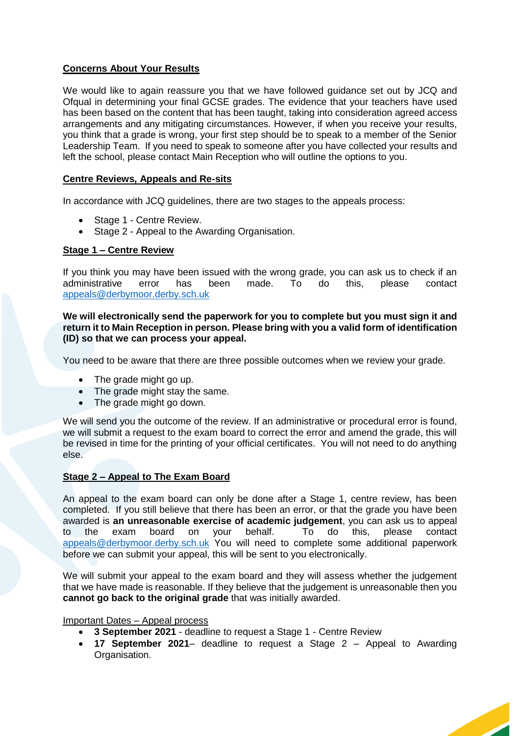# **Concerns About Your Results**

We would like to again reassure you that we have followed guidance set out by JCQ and Ofqual in determining your final GCSE grades. The evidence that your teachers have used has been based on the content that has been taught, taking into consideration agreed access arrangements and any mitigating circumstances. However, if when you receive your results, you think that a grade is wrong, your first step should be to speak to a member of the Senior Leadership Team. If you need to speak to someone after you have collected your results and left the school, please contact Main Reception who will outline the options to you.

# **Centre Reviews, Appeals and Re-sits**

In accordance with JCQ guidelines, there are two stages to the appeals process:

- Stage 1 Centre Review.
- Stage 2 Appeal to the Awarding Organisation.

## **Stage 1 – Centre Review**

If you think you may have been issued with the wrong grade, you can ask us to check if an administrative error has been made. To do this, please contact [appeals@derbymoor.derby.sch.uk](mailto:appeals@derbymoor.derby.sch.uk)

**We will electronically send the paperwork for you to complete but you must sign it and return it to Main Reception in person. Please bring with you a valid form of identification (ID) so that we can process your appeal.**

You need to be aware that there are three possible outcomes when we review your grade.

- The grade might go up.
- The grade might stay the same.
- The grade might go down.

We will send you the outcome of the review. If an administrative or procedural error is found, we will submit a request to the exam board to correct the error and amend the grade, this will be revised in time for the printing of your official certificates. You will not need to do anything else.

## **Stage 2 – Appeal to The Exam Board**

An appeal to the exam board can only be done after a Stage 1, centre review, has been completed. If you still believe that there has been an error, or that the grade you have been awarded is **an unreasonable exercise of academic judgement**, you can ask us to appeal to the exam board on your behalf. To do this, please contact [appeals@derbymoor.derby.sch.uk](mailto:appeals@derbymoor.derby.sch.uk) You will need to complete some additional paperwork before we can submit your appeal, this will be sent to you electronically.

We will submit your appeal to the exam board and they will assess whether the judgement that we have made is reasonable. If they believe that the judgement is unreasonable then you **cannot go back to the original grade** that was initially awarded.

#### Important Dates – Appeal process

- **3 September 2021**  deadline to request a Stage 1 Centre Review
- **17 September 2021** deadline to request a Stage 2 Appeal to Awarding Organisation.